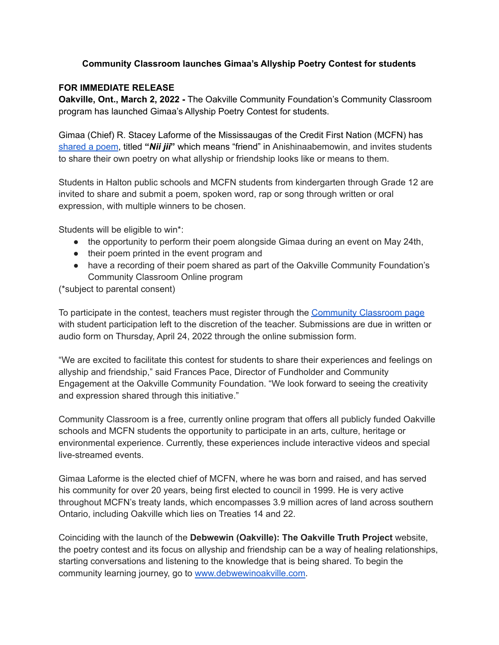## **Community Classroom launches Gimaa's Allyship Poetry Contest for students**

## **FOR IMMEDIATE RELEASE**

**Oakville, Ont., March 2, 2022 -** The Oakville Community Foundation's Community Classroom program has launched Gimaa's Allyship Poetry Contest for students.

Gimaa (Chief) R. Stacey Laforme of the Mississaugas of the Credit First Nation (MCFN) has [shared](https://www.theocf.org/nii-jii-a-poem-by-gimaa-r-stacey-laforme/) a poem, titled **"***Nii jii***"** which means "friend" in Anishinaabemowin, and invites students to share their own poetry on what allyship or friendship looks like or means to them.

Students in Halton public schools and MCFN students from kindergarten through Grade 12 are invited to share and submit a poem, spoken word, rap or song through written or oral expression, with multiple winners to be chosen.

Students will be eligible to win\*:

- the opportunity to perform their poem alongside Gimaa during an event on May 24th,
- their poem printed in the event program and
- have a recording of their poem shared as part of the Oakville Community Foundation's Community Classroom Online program

(\*subject to parental consent)

To participate in the contest, teachers must register through the [Community](http://www.theocf.org/initiative/community-classroom-online) Classroom page with student participation left to the discretion of the teacher. Submissions are due in written or audio form on Thursday, April 24, 2022 through the online submission form.

"We are excited to facilitate this contest for students to share their experiences and feelings on allyship and friendship," said Frances Pace, Director of Fundholder and Community Engagement at the Oakville Community Foundation. "We look forward to seeing the creativity and expression shared through this initiative."

Community Classroom is a free, currently online program that offers all publicly funded Oakville schools and MCFN students the opportunity to participate in an arts, culture, heritage or environmental experience. Currently, these experiences include interactive videos and special live-streamed events.

Gimaa Laforme is the elected chief of MCFN, where he was born and raised, and has served his community for over 20 years, being first elected to council in 1999. He is very active throughout MCFN's treaty lands, which encompasses 3.9 million acres of land across southern Ontario, including Oakville which lies on Treaties 14 and 22.

Coinciding with the launch of the **Debwewin (Oakville): The Oakville Truth Project** website, the poetry contest and its focus on allyship and friendship can be a way of healing relationships, starting conversations and listening to the knowledge that is being shared. To begin the community learning journey, go to [www.debwewinoakville.com.](http://www.debwewinoakville.com)